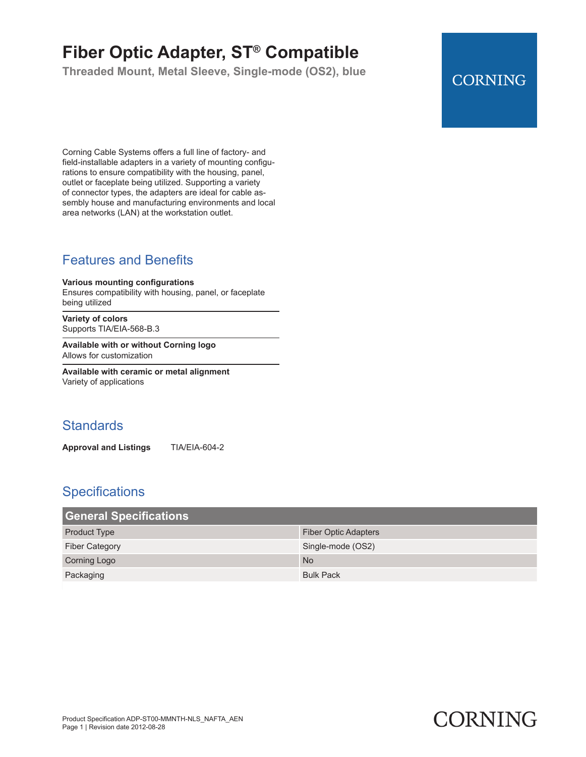# **Fiber Optic Adapter, ST® Compatible**

**Threaded Mount, Metal Sleeve, Single-mode (OS2), blue**

# **CORNING**

Corning Cable Systems offers a full line of factory- and field-installable adapters in a variety of mounting configurations to ensure compatibility with the housing, panel, outlet or faceplate being utilized. Supporting a variety of connector types, the adapters are ideal for cable assembly house and manufacturing environments and local area networks (LAN) at the workstation outlet.

# Features and Benefits

#### **Various mounting configurations**

Ensures compatibility with housing, panel, or faceplate being utilized

**Variety of colors** Supports TIA/EIA-568-B.3

**Available with or without Corning logo** Allows for customization

**Available with ceramic or metal alignment** Variety of applications

### **Standards**

**Approval and Listings** TIA/EIA-604-2

#### **Specifications**

| <b>General Specifications</b> |                             |
|-------------------------------|-----------------------------|
| <b>Product Type</b>           | <b>Fiber Optic Adapters</b> |
| <b>Fiber Category</b>         | Single-mode (OS2)           |
| <b>Corning Logo</b>           | <b>No</b>                   |
| Packaging                     | <b>Bulk Pack</b>            |